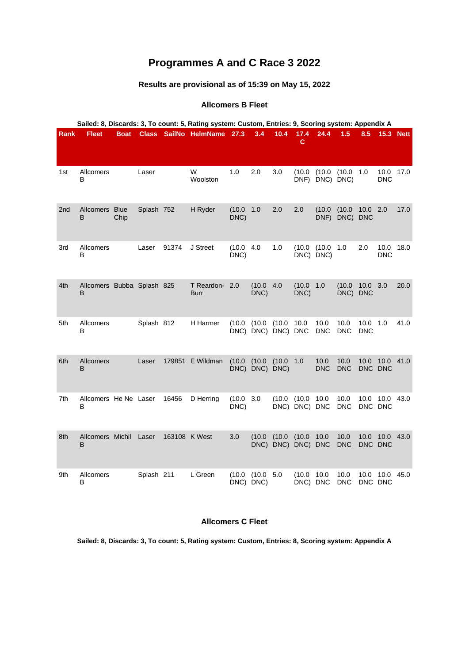# **Programmes A and C Race 3 2022**

# **Results are provisional as of 15:39 on May 15, 2022**

### **Allcomers B Fleet**

|             | Sailed: 8, Discards: 3, To count: 5, Rating system: Custom, Entries: 9, Scoring system: Appendix A |             |            |        |                               |                   |                          |                              |                              |                          |                    |                    |                      |                  |
|-------------|----------------------------------------------------------------------------------------------------|-------------|------------|--------|-------------------------------|-------------------|--------------------------|------------------------------|------------------------------|--------------------------|--------------------|--------------------|----------------------|------------------|
| <b>Rank</b> | <b>Fleet</b>                                                                                       | <b>Boat</b> |            |        | Class SailNo HelmName 27.3    |                   | 3.4                      | 10.4                         | 17.4<br>C.                   | 24.4                     | 1.5                | 8.5                |                      | <b>15.3 Nett</b> |
| 1st         | Allcomers<br>В                                                                                     |             | Laser      |        | W<br>Woolston                 | 1.0               | 2.0                      | 3.0                          | (10.0)                       | (10.0)<br>DNF) DNC) DNC) | (10.0)             | 1.0                | 10.0<br><b>DNC</b>   | 17.0             |
| 2nd         | Allcomers Blue<br>B                                                                                | Chip        | Splash 752 |        | H Ryder                       | (10.0)<br>DNC)    | 1.0                      | 2.0                          | 2.0                          | (10.0)<br>DNF)           | (10.0)<br>DNC) DNC | 10.0 2.0           |                      | 17.0             |
| 3rd         | Allcomers<br>В                                                                                     |             | Laser      | 91374  | J Street                      | (10.0 4.0<br>DNC) |                          | 1.0                          |                              | (10.0 (10.0<br>DNC) DNC) | 1.0                | 2.0                | 10.0<br><b>DNC</b>   | 18.0             |
| 4th         | Allcomers Bubba Splash 825<br>B                                                                    |             |            |        | T Reardon- 2.0<br><b>Burr</b> |                   | (10.0)<br>DNC)           | 4.0                          | (10.0 1.0<br>DNC)            |                          | (10.0)<br>DNC) DNC | 10.0               | 3.0                  | 20.0             |
| 5th         | Allcomers<br>В                                                                                     |             | Splash 812 |        | H Harmer                      | (10.0)            | (10.0)                   | (10.0)<br>DNC) DNC) DNC) DNC | 10.0                         | 10.0<br><b>DNC</b>       | 10.0<br><b>DNC</b> | 10.0<br><b>DNC</b> | 1.0                  | 41.0             |
| 6th         | Allcomers<br>B                                                                                     |             | Laser      | 179851 | E Wildman                     | (10.0)            | (10.0)<br>DNC) DNC) DNC) | (10.0 1.0                    |                              | 10.0<br><b>DNC</b>       | 10.0<br><b>DNC</b> | 10.0               | 10.0<br>DNC DNC      | 41.0             |
| 7th         | Allcomers He Ne Laser<br>В                                                                         |             |            | 16456  | D Herring                     | (10.0)<br>DNC)    | 3.0                      |                              | (10.0 (10.0<br>DNC) DNC) DNC | 10.0                     | 10.0<br><b>DNC</b> | 10.0               | 10.0<br>DNC DNC      | 43.0             |
| 8th         | Allcomers Michil<br>B                                                                              |             | Laser      |        | 163108 K West                 | 3.0               | (10.0)                   | (10.0)<br>DNC) DNC) DNC) DNC | (10.0)                       | 10.0                     | 10.0<br><b>DNC</b> | 10.0               | 10.0 43.0<br>DNC DNC |                  |
| 9th         | Allcomers<br>B                                                                                     |             | Splash 211 |        | L Green                       | (10.0)            | (10.0 5.0<br>DNC) DNC)   |                              | (10.0)<br>DNC) DNC           | 10.0                     | 10.0<br><b>DNC</b> | 10.0<br>DNC DNC    | 10.0                 | 45.0             |

#### **Allcomers C Fleet**

**Sailed: 8, Discards: 3, To count: 5, Rating system: Custom, Entries: 8, Scoring system: Appendix A**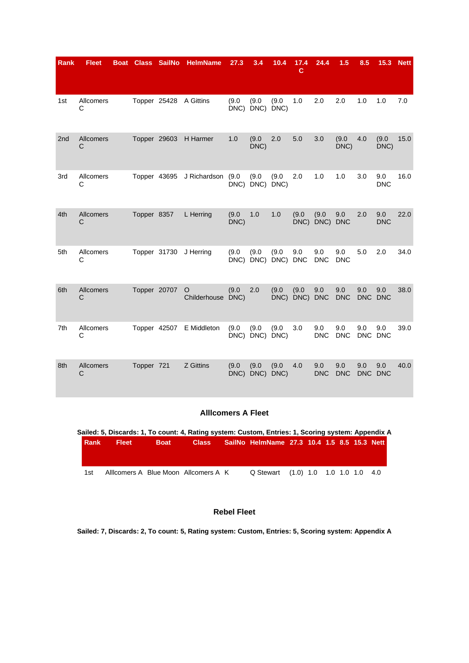| <b>Rank</b> | <b>Fleet</b>   | <b>Boat</b> | <b>Class</b> | <b>SailNo</b> | <b>HelmName</b>        | 27.3          | 3.4                | 10.4               | 17.4<br>c              | 24.4               | 1.5               | 8.5 | 15.3              | <b>Nett</b> |
|-------------|----------------|-------------|--------------|---------------|------------------------|---------------|--------------------|--------------------|------------------------|--------------------|-------------------|-----|-------------------|-------------|
|             |                |             |              |               |                        |               |                    |                    |                        |                    |                   |     |                   |             |
| 1st         | Allcomers<br>C |             |              |               | Topper 25428 A Gittins | (9.0)<br>DNC) | (9.0)<br>DNC) DNC) | (9.0)              | 1.0                    | 2.0                | 2.0               | 1.0 | 1.0               | 7.0         |
| 2nd         | Allcomers<br>C |             |              | Topper 29603  | H Harmer               | 1.0           | (9.0)<br>DNC)      | 2.0                | 5.0                    | 3.0                | (9.0)<br>DNC)     | 4.0 | (9.0)<br>DNC)     | 15.0        |
| 3rd         | Allcomers<br>С |             |              | Topper 43695  | J Richardson           | (9.0)<br>DNC) | (9.0)<br>DNC)      | (9.0)<br>DNC)      | 2.0                    | 1.0                | 1.0               | 3.0 | 9.0<br><b>DNC</b> | 16.0        |
| 4th         | Allcomers<br>C |             | Topper 8357  |               | L Herring              | (9.0)<br>DNC) | 1.0                | 1.0                | (9.0)                  | (9.0)<br>DNC) DNC) | 9.0<br><b>DNC</b> | 2.0 | 9.0<br><b>DNC</b> | 22.0        |
| 5th         | Allcomers<br>C |             |              | Topper 31730  | J Herring              | (9.0)<br>DNC) | (9.0)<br>DNC)      | (9.0)<br>DNC)      | 9.0<br><b>DNC</b>      | 9.0<br><b>DNC</b>  | 9.0<br><b>DNC</b> | 5.0 | 2.0               | 34.0        |
| 6th         | Allcomers<br>C |             | Topper 20707 |               | O<br>Childerhouse DNC) | (9.0)         | 2.0                | (9.0)              | (9.0)<br>DNC) DNC) DNC | 9.0                | 9.0<br><b>DNC</b> | 9.0 | 9.0<br>DNC DNC    | 38.0        |
| 7th         | Allcomers<br>C |             |              | Topper 42507  | E Middleton            | (9.0)<br>DNC) | (9.0)              | (9.0)<br>DNC) DNC) | 3.0                    | 9.0<br><b>DNC</b>  | 9.0<br><b>DNC</b> | 9.0 | 9.0<br>DNC DNC    | 39.0        |
| 8th         | Allcomers<br>C |             | Topper 721   |               | <b>Z</b> Gittins       | (9.0)<br>DNC) | (9.0)              | (9.0)<br>DNC) DNC) | 4.0                    | 9.0<br><b>DNC</b>  | 9.0<br><b>DNC</b> | 9.0 | 9.0<br>DNC DNC    | 40.0        |

## **Alllcomers A Fleet**

|             |              |             | Sailed: 5, Discards: 1, To count: 4, Rating system: Custom, Entries: 1, Scoring system: Appendix A |                                             |  |  |  |  |
|-------------|--------------|-------------|----------------------------------------------------------------------------------------------------|---------------------------------------------|--|--|--|--|
| <b>Rank</b> | <b>Fleet</b> | <b>Boat</b> | <b>Class</b>                                                                                       | SailNo HelmName 27.3 10.4 1.5 8.5 15.3 Nett |  |  |  |  |
|             |              |             |                                                                                                    |                                             |  |  |  |  |
|             |              |             |                                                                                                    |                                             |  |  |  |  |
| 1st         |              |             | Allicomers A Blue Moon Allcomers A K                                                               | Q Stewart (1.0) 1.0 1.0 1.0 1.0 4.0         |  |  |  |  |

#### **Rebel Fleet**

**Sailed: 7, Discards: 2, To count: 5, Rating system: Custom, Entries: 5, Scoring system: Appendix A**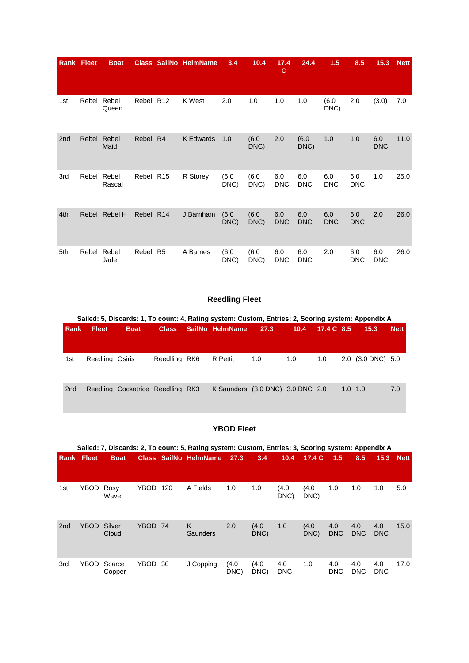|     | <b>Rank Fleet</b> | <b>Boat</b>     |           |                 | <b>Class SailNo HelmName</b> | 3.4           | 10.4          | 17.4<br>C         | 24.4              | 1.5               | 8.5               | 15.3              | <b>Nett</b> |
|-----|-------------------|-----------------|-----------|-----------------|------------------------------|---------------|---------------|-------------------|-------------------|-------------------|-------------------|-------------------|-------------|
| 1st | Rebel             | Rebel<br>Queen  | Rebel R12 |                 | K West                       | 2.0           | 1.0           | 1.0               | 1.0               | (6.0)<br>DNC)     | 2.0               | (3.0)             | 7.0         |
| 2nd | Rebel             | Rebel<br>Maid   | Rebel     | R <sub>4</sub>  | <b>K</b> Edwards             | 1.0           | (6.0)<br>DNC) | 2.0               | (6.0)<br>DNC)     | 1.0               | 1.0               | 6.0<br><b>DNC</b> | 11.0        |
| 3rd | Rebel             | Rebel<br>Rascal | Rebel     | R <sub>15</sub> | R Storey                     | (6.0)<br>DNC) | (6.0)<br>DNC) | 6.0<br><b>DNC</b> | 6.0<br><b>DNC</b> | 6.0<br><b>DNC</b> | 6.0<br><b>DNC</b> | 1.0               | 25.0        |
| 4th | Rebel             | Rebel H         | Rebel R14 |                 | J Barnham                    | (6.0)<br>DNC) | (6.0)<br>DNC) | 6.0<br><b>DNC</b> | 6.0<br><b>DNC</b> | 6.0<br><b>DNC</b> | 6.0<br><b>DNC</b> | 2.0               | 26.0        |
| 5th | Rebel             | Rebel<br>Jade   | Rebel     | R <sub>5</sub>  | A Barnes                     | (6.0)<br>DNC) | (6.0)<br>DNC) | 6.0<br><b>DNC</b> | 6.0<br><b>DNC</b> | 2.0               | 6.0<br><b>DNC</b> | 6.0<br><b>DNC</b> | 26.0        |

# **Reedling Fleet**

|                 |                 |                                   |               | Sailed: 5, Discards: 1, To count: 4, Rating system: Custom, Entries: 2, Scoring system: Appendix A |      |      |            |                   |             |
|-----------------|-----------------|-----------------------------------|---------------|----------------------------------------------------------------------------------------------------|------|------|------------|-------------------|-------------|
| Rank            | <b>Fleet</b>    | <b>Boat</b>                       |               | Class SailNo HelmName                                                                              | 27.3 | 10.4 | 17.4 C 8.5 | 15.3              | <b>Nett</b> |
|                 |                 |                                   |               |                                                                                                    |      |      |            |                   |             |
| 1st             | Reedling Osiris |                                   | Reedlling RK6 | R Pettit                                                                                           | 1.0  | 1.0  | 1.0        | 2.0 (3.0 DNC) 5.0 |             |
| 2 <sub>nd</sub> |                 | Reedling Cockatrice Reedlling RK3 |               | K Saunders (3.0 DNC) 3.0 DNC 2.0                                                                   |      |      |            | $1.0 \quad 1.0$   | 7.0         |

## **YBOD Fleet**

|                 | Sailed: 7, Discards: 2, To count: 5, Rating system: Custom, Entries: 3, Scoring system: Appendix A |                  |         |     |                              |               |               |                   |               |                   |                   |                   |             |  |  |
|-----------------|----------------------------------------------------------------------------------------------------|------------------|---------|-----|------------------------------|---------------|---------------|-------------------|---------------|-------------------|-------------------|-------------------|-------------|--|--|
|                 | <b>Rank Fleet</b>                                                                                  | <b>Boat</b>      |         |     | <b>Class SailNo HelmName</b> | 27.3          | 3.4           | 10.4              | 17.4 $C$      | 1.5               | 8.5               | 15.3              | <b>Nett</b> |  |  |
|                 |                                                                                                    |                  |         |     |                              |               |               |                   |               |                   |                   |                   |             |  |  |
| 1st             | YBOD                                                                                               | Rosy<br>Wave     | YBOD    | 120 | A Fields                     | 1.0           | 1.0           | (4.0<br>DNC)      | (4.0<br>DNC)  | 1.0               | 1.0               | 1.0               | 5.0         |  |  |
| 2 <sub>nd</sub> | <b>YBOD</b>                                                                                        | Silver<br>Cloud  | YBOD 74 |     | K<br>Saunders                | 2.0           | (4.0)<br>DNC) | 1.0               | (4.0)<br>DNC) | 4.0<br><b>DNC</b> | 4.0<br><b>DNC</b> | 4.0<br><b>DNC</b> | 15.0        |  |  |
| 3rd             | <b>YBOD</b>                                                                                        | Scarce<br>Copper | YBOD 30 |     | J Copping                    | (4.0)<br>DNC) | (4.0)<br>DNC) | 4.0<br><b>DNC</b> | 1.0           | 4.0<br><b>DNC</b> | 4.0<br><b>DNC</b> | 4.0<br><b>DNC</b> | 17.0        |  |  |